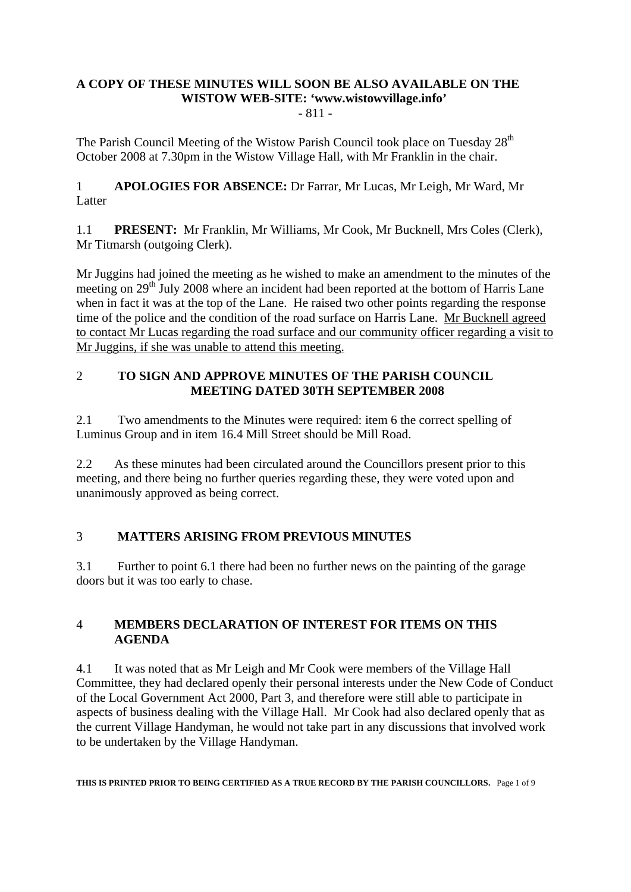# **A COPY OF THESE MINUTES WILL SOON BE ALSO AVAILABLE ON THE WISTOW WEB-SITE: 'www.wistowvillage.info'**

- 811 -

The Parish Council Meeting of the Wistow Parish Council took place on Tuesday 28<sup>th</sup> October 2008 at 7.30pm in the Wistow Village Hall, with Mr Franklin in the chair.

1 **APOLOGIES FOR ABSENCE:** Dr Farrar, Mr Lucas, Mr Leigh, Mr Ward, Mr Latter

1.1 **PRESENT:** Mr Franklin, Mr Williams, Mr Cook, Mr Bucknell, Mrs Coles (Clerk), Mr Titmarsh (outgoing Clerk).

Mr Juggins had joined the meeting as he wished to make an amendment to the minutes of the meeting on 29<sup>th</sup> July 2008 where an incident had been reported at the bottom of Harris Lane when in fact it was at the top of the Lane. He raised two other points regarding the response time of the police and the condition of the road surface on Harris Lane. Mr Bucknell agreed to contact Mr Lucas regarding the road surface and our community officer regarding a visit to Mr Juggins, if she was unable to attend this meeting.

# 2 **TO SIGN AND APPROVE MINUTES OF THE PARISH COUNCIL MEETING DATED 30TH SEPTEMBER 2008**

2.1 Two amendments to the Minutes were required: item 6 the correct spelling of Luminus Group and in item 16.4 Mill Street should be Mill Road.

2.2 As these minutes had been circulated around the Councillors present prior to this meeting, and there being no further queries regarding these, they were voted upon and unanimously approved as being correct.

# 3 **MATTERS ARISING FROM PREVIOUS MINUTES**

3.1 Further to point 6.1 there had been no further news on the painting of the garage doors but it was too early to chase.

# 4 **MEMBERS DECLARATION OF INTEREST FOR ITEMS ON THIS AGENDA**

4.1 It was noted that as Mr Leigh and Mr Cook were members of the Village Hall Committee, they had declared openly their personal interests under the New Code of Conduct of the Local Government Act 2000, Part 3, and therefore were still able to participate in aspects of business dealing with the Village Hall. Mr Cook had also declared openly that as the current Village Handyman, he would not take part in any discussions that involved work to be undertaken by the Village Handyman.

**THIS IS PRINTED PRIOR TO BEING CERTIFIED AS A TRUE RECORD BY THE PARISH COUNCILLORS.** Page 1 of 9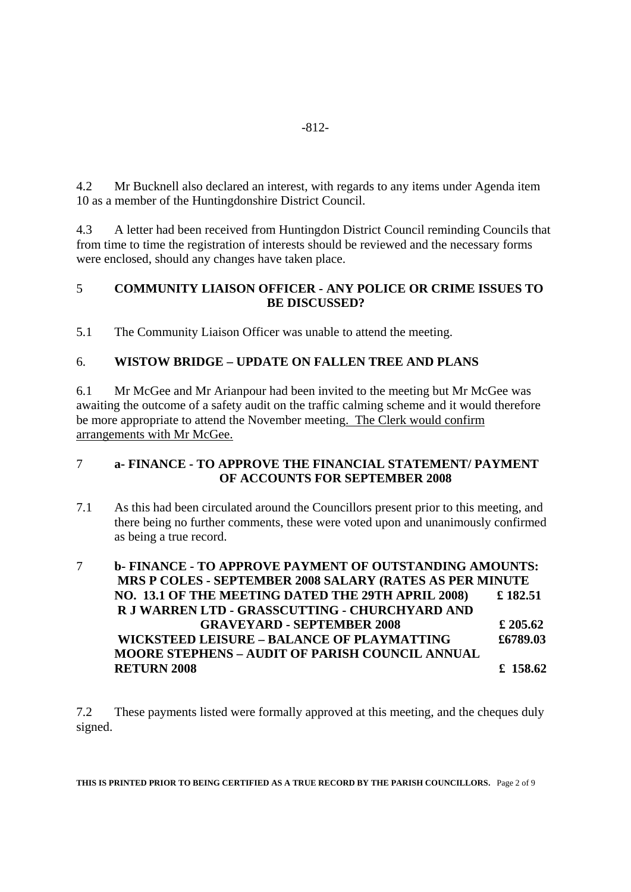4.2 Mr Bucknell also declared an interest, with regards to any items under Agenda item 10 as a member of the Huntingdonshire District Council.

4.3 A letter had been received from Huntingdon District Council reminding Councils that from time to time the registration of interests should be reviewed and the necessary forms were enclosed, should any changes have taken place.

# 5 **COMMUNITY LIAISON OFFICER - ANY POLICE OR CRIME ISSUES TO BE DISCUSSED?**

5.1 The Community Liaison Officer was unable to attend the meeting.

# 6. **WISTOW BRIDGE – UPDATE ON FALLEN TREE AND PLANS**

6.1 Mr McGee and Mr Arianpour had been invited to the meeting but Mr McGee was awaiting the outcome of a safety audit on the traffic calming scheme and it would therefore be more appropriate to attend the November meeting. The Clerk would confirm arrangements with Mr McGee.

# 7 **a- FINANCE - TO APPROVE THE FINANCIAL STATEMENT/ PAYMENT OF ACCOUNTS FOR SEPTEMBER 2008**

- 7.1 As this had been circulated around the Councillors present prior to this meeting, and there being no further comments, these were voted upon and unanimously confirmed as being a true record.
- 7 **b- FINANCE TO APPROVE PAYMENT OF OUTSTANDING AMOUNTS: MRS P COLES - SEPTEMBER 2008 SALARY (RATES AS PER MINUTE NO. 13.1 OF THE MEETING DATED THE 29TH APRIL 2008) £ 182.51 R J WARREN LTD - GRASSCUTTING - CHURCHYARD AND GRAVEYARD - SEPTEMBER 2008 £ 205.62 WICKSTEED LEISURE – BALANCE OF PLAYMATTING £6789.03 MOORE STEPHENS – AUDIT OF PARISH COUNCIL ANNUAL RETURN 2008 £ 158.62**

7.2 These payments listed were formally approved at this meeting, and the cheques duly signed.

**THIS IS PRINTED PRIOR TO BEING CERTIFIED AS A TRUE RECORD BY THE PARISH COUNCILLORS.** Page 2 of 9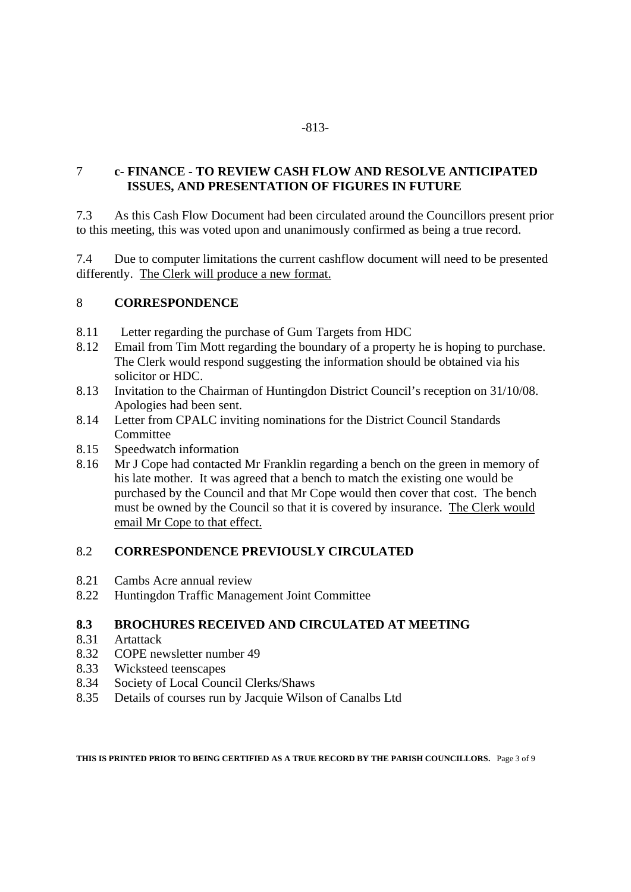### -813-

# 7 **c- FINANCE - TO REVIEW CASH FLOW AND RESOLVE ANTICIPATED ISSUES, AND PRESENTATION OF FIGURES IN FUTURE**

7.3 As this Cash Flow Document had been circulated around the Councillors present prior to this meeting, this was voted upon and unanimously confirmed as being a true record.

7.4 Due to computer limitations the current cashflow document will need to be presented differently. The Clerk will produce a new format.

### 8 **CORRESPONDENCE**

- 8.11 Letter regarding the purchase of Gum Targets from HDC
- 8.12 Email from Tim Mott regarding the boundary of a property he is hoping to purchase. The Clerk would respond suggesting the information should be obtained via his solicitor or HDC.
- 8.13 Invitation to the Chairman of Huntingdon District Council's reception on 31/10/08. Apologies had been sent.
- 8.14 Letter from CPALC inviting nominations for the District Council Standards **Committee**
- 8.15 Speedwatch information
- 8.16 Mr J Cope had contacted Mr Franklin regarding a bench on the green in memory of his late mother. It was agreed that a bench to match the existing one would be purchased by the Council and that Mr Cope would then cover that cost. The bench must be owned by the Council so that it is covered by insurance. The Clerk would email Mr Cope to that effect.

# 8.2 **CORRESPONDENCE PREVIOUSLY CIRCULATED**

- 8.21 Cambs Acre annual review
- 8.22 Huntingdon Traffic Management Joint Committee

# **8.3 BROCHURES RECEIVED AND CIRCULATED AT MEETING**

- 8.31 Artattack
- 8.32 COPE newsletter number 49
- 8.33 Wicksteed teenscapes<br>8.34 Society of Local Coun
- 8.34 Society of Local Council Clerks/Shaws
- 8.35 Details of courses run by Jacquie Wilson of Canalbs Ltd

**THIS IS PRINTED PRIOR TO BEING CERTIFIED AS A TRUE RECORD BY THE PARISH COUNCILLORS.** Page 3 of 9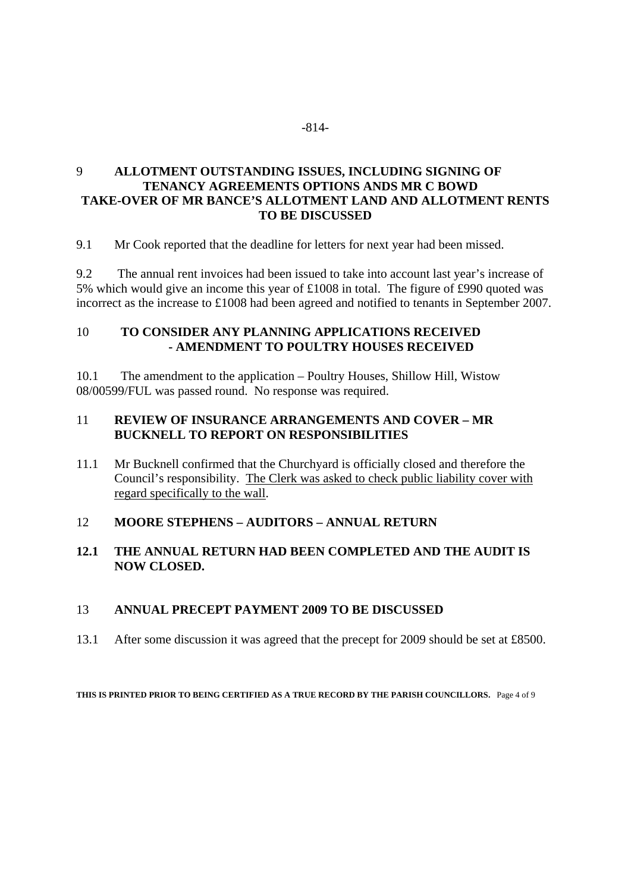### -814-

# 9 **ALLOTMENT OUTSTANDING ISSUES, INCLUDING SIGNING OF TENANCY AGREEMENTS OPTIONS ANDS MR C BOWD TAKE-OVER OF MR BANCE'S ALLOTMENT LAND AND ALLOTMENT RENTS TO BE DISCUSSED**

9.1 Mr Cook reported that the deadline for letters for next year had been missed.

9.2 The annual rent invoices had been issued to take into account last year's increase of 5% which would give an income this year of £1008 in total. The figure of £990 quoted was incorrect as the increase to £1008 had been agreed and notified to tenants in September 2007.

### 10 **TO CONSIDER ANY PLANNING APPLICATIONS RECEIVED - AMENDMENT TO POULTRY HOUSES RECEIVED**

10.1 The amendment to the application – Poultry Houses, Shillow Hill, Wistow 08/00599/FUL was passed round. No response was required.

### 11 **REVIEW OF INSURANCE ARRANGEMENTS AND COVER – MR BUCKNELL TO REPORT ON RESPONSIBILITIES**

11.1 Mr Bucknell confirmed that the Churchyard is officially closed and therefore the Council's responsibility. The Clerk was asked to check public liability cover with regard specifically to the wall.

# 12 **MOORE STEPHENS – AUDITORS – ANNUAL RETURN**

### **12.1 THE ANNUAL RETURN HAD BEEN COMPLETED AND THE AUDIT IS NOW CLOSED.**

#### 13 **ANNUAL PRECEPT PAYMENT 2009 TO BE DISCUSSED**

13.1 After some discussion it was agreed that the precept for 2009 should be set at £8500.

**THIS IS PRINTED PRIOR TO BEING CERTIFIED AS A TRUE RECORD BY THE PARISH COUNCILLORS.** Page 4 of 9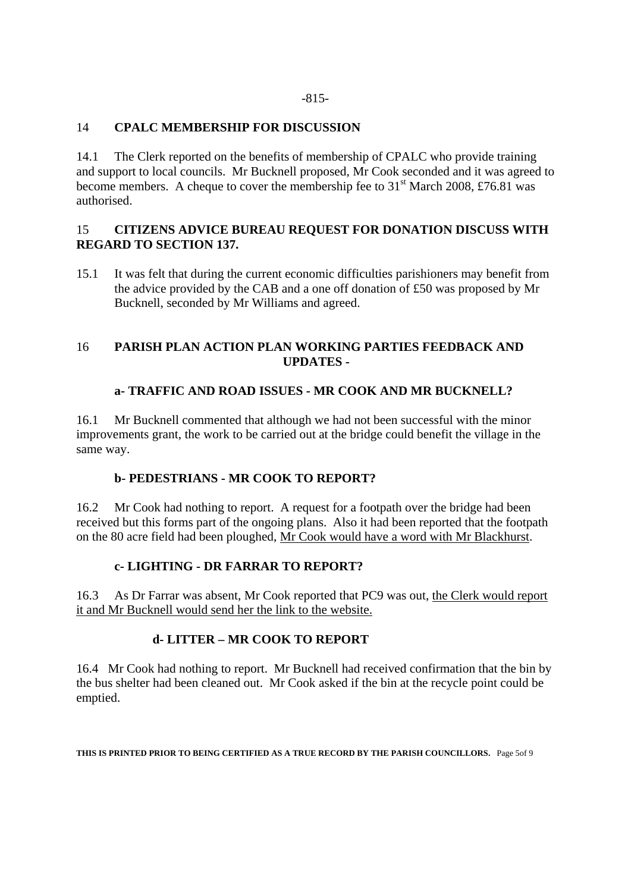#### -815-

### 14 **CPALC MEMBERSHIP FOR DISCUSSION**

14.1 The Clerk reported on the benefits of membership of CPALC who provide training and support to local councils. Mr Bucknell proposed, Mr Cook seconded and it was agreed to become members. A cheque to cover the membership fee to  $31<sup>st</sup>$  March 2008, £76.81 was authorised.

### 15 **CITIZENS ADVICE BUREAU REQUEST FOR DONATION DISCUSS WITH REGARD TO SECTION 137.**

15.1 It was felt that during the current economic difficulties parishioners may benefit from the advice provided by the CAB and a one off donation of £50 was proposed by Mr Bucknell, seconded by Mr Williams and agreed.

### 16 **PARISH PLAN ACTION PLAN WORKING PARTIES FEEDBACK AND UPDATES -**

# **a- TRAFFIC AND ROAD ISSUES - MR COOK AND MR BUCKNELL?**

16.1 Mr Bucknell commented that although we had not been successful with the minor improvements grant, the work to be carried out at the bridge could benefit the village in the same way.

# **b- PEDESTRIANS - MR COOK TO REPORT?**

16.2 Mr Cook had nothing to report. A request for a footpath over the bridge had been received but this forms part of the ongoing plans. Also it had been reported that the footpath on the 80 acre field had been ploughed, Mr Cook would have a word with Mr Blackhurst.

# **c- LIGHTING - DR FARRAR TO REPORT?**

16.3 As Dr Farrar was absent, Mr Cook reported that PC9 was out, the Clerk would report it and Mr Bucknell would send her the link to the website.

# **d- LITTER – MR COOK TO REPORT**

16.4 Mr Cook had nothing to report. Mr Bucknell had received confirmation that the bin by the bus shelter had been cleaned out. Mr Cook asked if the bin at the recycle point could be emptied.

**THIS IS PRINTED PRIOR TO BEING CERTIFIED AS A TRUE RECORD BY THE PARISH COUNCILLORS.** Page 5of 9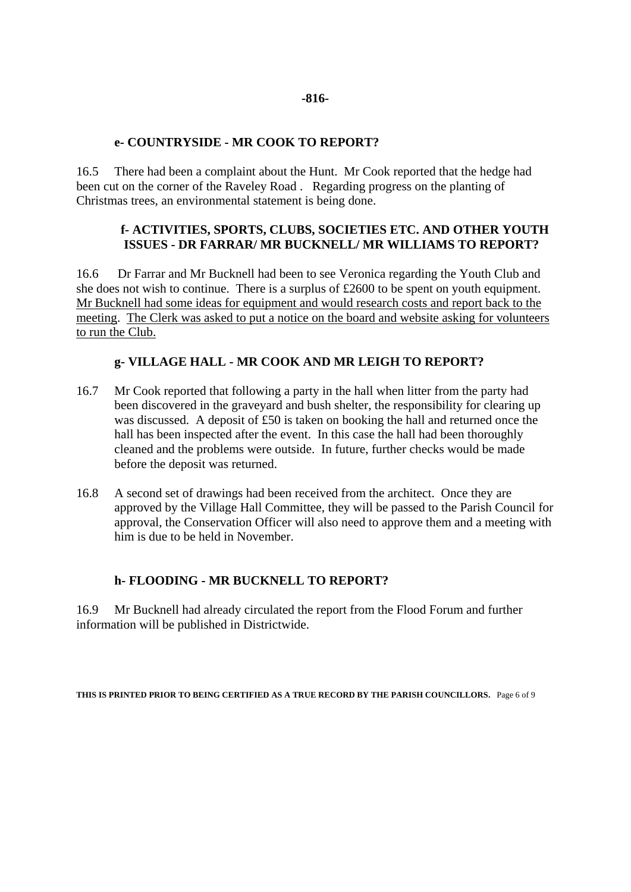#### **-816-**

#### **e- COUNTRYSIDE - MR COOK TO REPORT?**

16.5 There had been a complaint about the Hunt. Mr Cook reported that the hedge had been cut on the corner of the Raveley Road . Regarding progress on the planting of Christmas trees, an environmental statement is being done.

#### **f- ACTIVITIES, SPORTS, CLUBS, SOCIETIES ETC. AND OTHER YOUTH ISSUES - DR FARRAR/ MR BUCKNELL/ MR WILLIAMS TO REPORT?**

16.6 Dr Farrar and Mr Bucknell had been to see Veronica regarding the Youth Club and she does not wish to continue. There is a surplus of £2600 to be spent on youth equipment. Mr Bucknell had some ideas for equipment and would research costs and report back to the meeting. The Clerk was asked to put a notice on the board and website asking for volunteers to run the Club.

### **g- VILLAGE HALL - MR COOK AND MR LEIGH TO REPORT?**

- 16.7 Mr Cook reported that following a party in the hall when litter from the party had been discovered in the graveyard and bush shelter, the responsibility for clearing up was discussed. A deposit of £50 is taken on booking the hall and returned once the hall has been inspected after the event. In this case the hall had been thoroughly cleaned and the problems were outside. In future, further checks would be made before the deposit was returned.
- 16.8 A second set of drawings had been received from the architect. Once they are approved by the Village Hall Committee, they will be passed to the Parish Council for approval, the Conservation Officer will also need to approve them and a meeting with him is due to be held in November.

#### **h- FLOODING - MR BUCKNELL TO REPORT?**

16.9 Mr Bucknell had already circulated the report from the Flood Forum and further information will be published in Districtwide.

**THIS IS PRINTED PRIOR TO BEING CERTIFIED AS A TRUE RECORD BY THE PARISH COUNCILLORS.** Page 6 of 9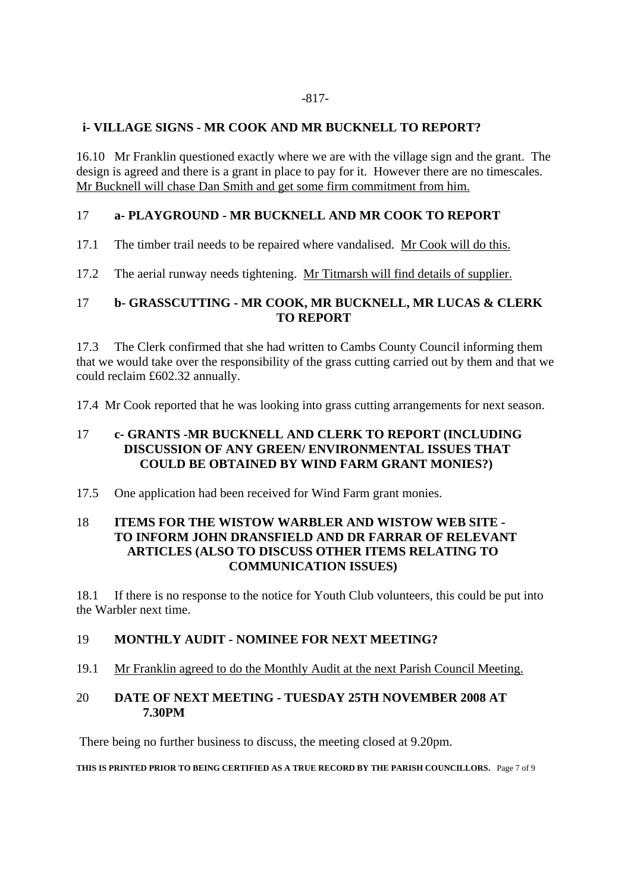#### -817-

### **i- VILLAGE SIGNS - MR COOK AND MR BUCKNELL TO REPORT?**

16.10 Mr Franklin questioned exactly where we are with the village sign and the grant. The design is agreed and there is a grant in place to pay for it. However there are no timescales. Mr Bucknell will chase Dan Smith and get some firm commitment from him.

# 17 **a- PLAYGROUND - MR BUCKNELL AND MR COOK TO REPORT**

17.1 The timber trail needs to be repaired where vandalised. Mr Cook will do this.

17.2 The aerial runway needs tightening. Mr Titmarsh will find details of supplier.

### 17 **b- GRASSCUTTING - MR COOK, MR BUCKNELL, MR LUCAS & CLERK TO REPORT**

17.3 The Clerk confirmed that she had written to Cambs County Council informing them that we would take over the responsibility of the grass cutting carried out by them and that we could reclaim £602.32 annually.

17.4 Mr Cook reported that he was looking into grass cutting arrangements for next season.

### 17 **c- GRANTS -MR BUCKNELL AND CLERK TO REPORT (INCLUDING DISCUSSION OF ANY GREEN/ ENVIRONMENTAL ISSUES THAT COULD BE OBTAINED BY WIND FARM GRANT MONIES?)**

17.5 One application had been received for Wind Farm grant monies.

#### 18 **ITEMS FOR THE WISTOW WARBLER AND WISTOW WEB SITE - TO INFORM JOHN DRANSFIELD AND DR FARRAR OF RELEVANT ARTICLES (ALSO TO DISCUSS OTHER ITEMS RELATING TO COMMUNICATION ISSUES)**

18.1 If there is no response to the notice for Youth Club volunteers, this could be put into the Warbler next time.

#### 19 **MONTHLY AUDIT - NOMINEE FOR NEXT MEETING?**

19.1 Mr Franklin agreed to do the Monthly Audit at the next Parish Council Meeting.

#### 20 **DATE OF NEXT MEETING - TUESDAY 25TH NOVEMBER 2008 AT 7.30PM**

There being no further business to discuss, the meeting closed at 9.20pm.

**THIS IS PRINTED PRIOR TO BEING CERTIFIED AS A TRUE RECORD BY THE PARISH COUNCILLORS.** Page 7 of 9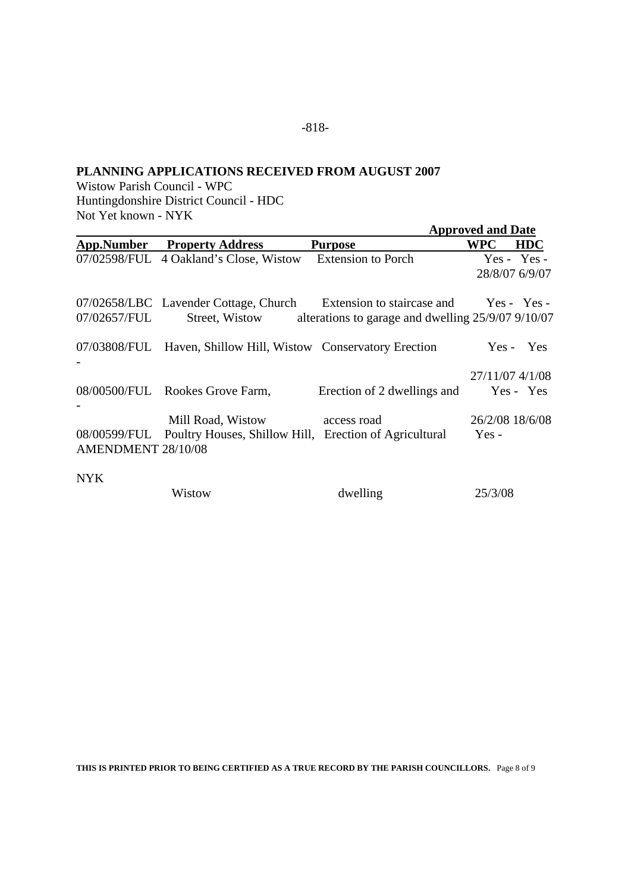### **PLANNING APPLICATIONS RECEIVED FROM AUGUST 2007**

Wistow Parish Council - WPC Huntingdonshire District Council - HDC Not Yet known - NYK

|                    |                                                                                                      |                                                                   | <b>Approved and Date</b> |                                 |  |
|--------------------|------------------------------------------------------------------------------------------------------|-------------------------------------------------------------------|--------------------------|---------------------------------|--|
| App.Number         | <b>Property Address</b>                                                                              | <b>Purpose</b>                                                    | <b>WPC</b>               | <b>HDC</b>                      |  |
|                    | 07/02598/FUL 4 Oakland's Close, Wistow                                                               | <b>Extension to Porch</b>                                         |                          | $Yes - Yes -$<br>28/8/07 6/9/07 |  |
| 07/02657/FUL       | 07/02658/LBC Lavender Cottage, Church Extension to staircase and Yes - Yes -                         | Street, Wistow alterations to garage and dwelling 25/9/07 9/10/07 |                          |                                 |  |
|                    | 07/03808/FUL Haven, Shillow Hill, Wistow Conservatory Erection                                       |                                                                   |                          | Yes - Yes                       |  |
|                    | 08/00500/FUL Rookes Grove Farm,                                                                      | Erection of 2 dwellings and                                       |                          | 27/11/07 4/1/08<br>Yes - Yes    |  |
| AMENDMENT 28/10/08 | Mill Road, Wistow access road<br>08/00599/FUL Poultry Houses, Shillow Hill, Erection of Agricultural |                                                                   | $Yes -$                  | 26/2/08 18/6/08                 |  |
| <b>NYK</b>         | Wistow                                                                                               | dwelling                                                          | 25/3/08                  |                                 |  |

**THIS IS PRINTED PRIOR TO BEING CERTIFIED AS A TRUE RECORD BY THE PARISH COUNCILLORS.** Page 8 of 9